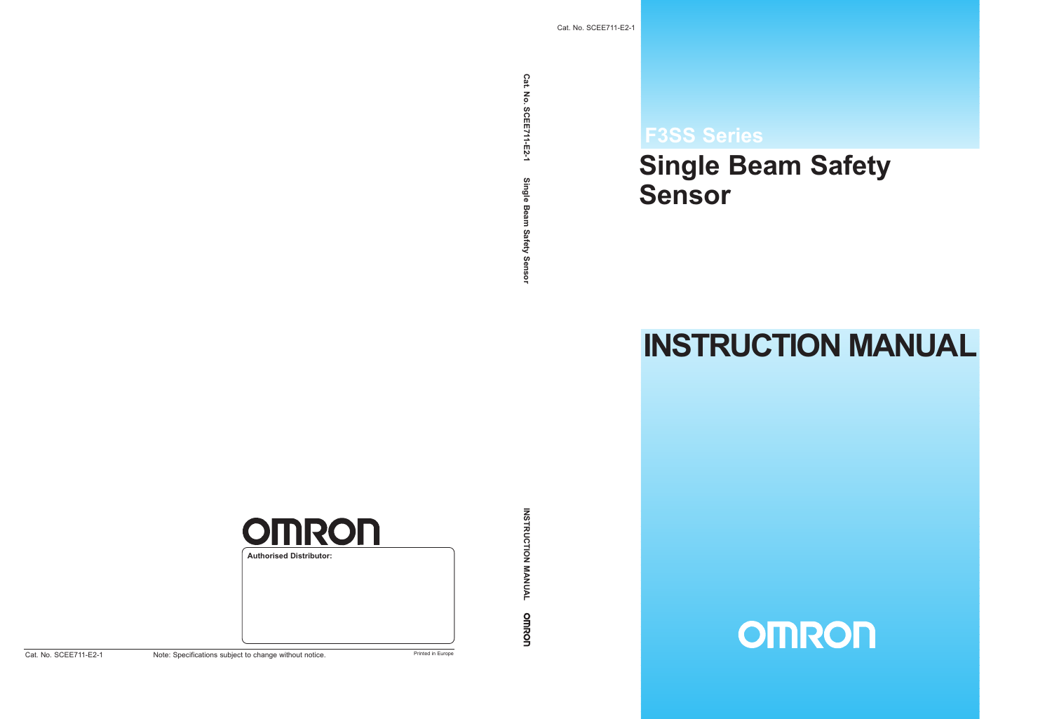**F3SS Series**

## **Single Beam Safety Sensor**

# **INSTRUCTION MANUAL**

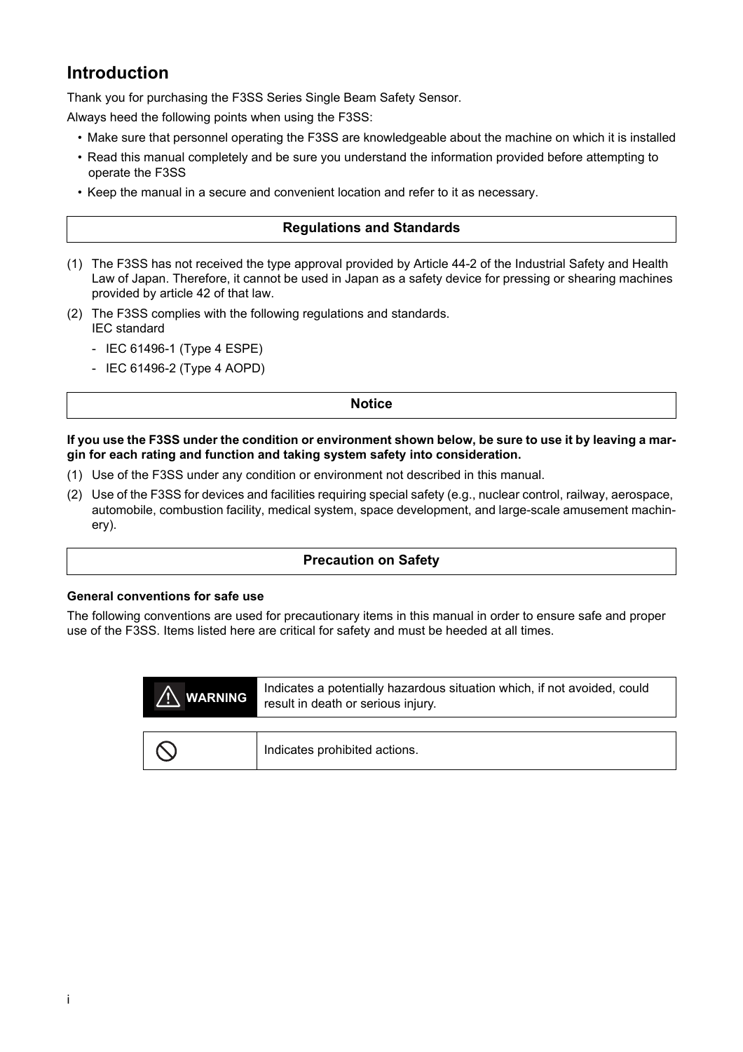## **Introduction**

Thank you for purchasing the F3SS Series Single Beam Safety Sensor.

Always heed the following points when using the F3SS:

- Make sure that personnel operating the F3SS are knowledgeable about the machine on which it is installed
- Read this manual completely and be sure you understand the information provided before attempting to operate the F3SS
- Keep the manual in a secure and convenient location and refer to it as necessary.

#### **Regulations and Standards**

- (1) The F3SS has not received the type approval provided by Article 44-2 of the Industrial Safety and Health Law of Japan. Therefore, it cannot be used in Japan as a safety device for pressing or shearing machines provided by article 42 of that law.
- (2) The F3SS complies with the following regulations and standards. IEC standard
	- IEC 61496-1 (Type 4 ESPE)
	- IEC 61496-2 (Type 4 AOPD)

#### **Notice**

**If you use the F3SS under the condition or environment shown below, be sure to use it by leaving a margin for each rating and function and taking system safety into consideration.**

- (1) Use of the F3SS under any condition or environment not described in this manual.
- (2) Use of the F3SS for devices and facilities requiring special safety (e.g., nuclear control, railway, aerospace, automobile, combustion facility, medical system, space development, and large-scale amusement machinery).

#### **Precaution on Safety**

#### **General conventions for safe use**

The following conventions are used for precautionary items in this manual in order to ensure safe and proper use of the F3SS. Items listed here are critical for safety and must be heeded at all times.

| Indicates a potentially hazardous situation which, if not avoided, could<br>WARNING<br>result in death or serious injury. |                               |  |  |  |
|---------------------------------------------------------------------------------------------------------------------------|-------------------------------|--|--|--|
|                                                                                                                           | Indicates prohibited actions. |  |  |  |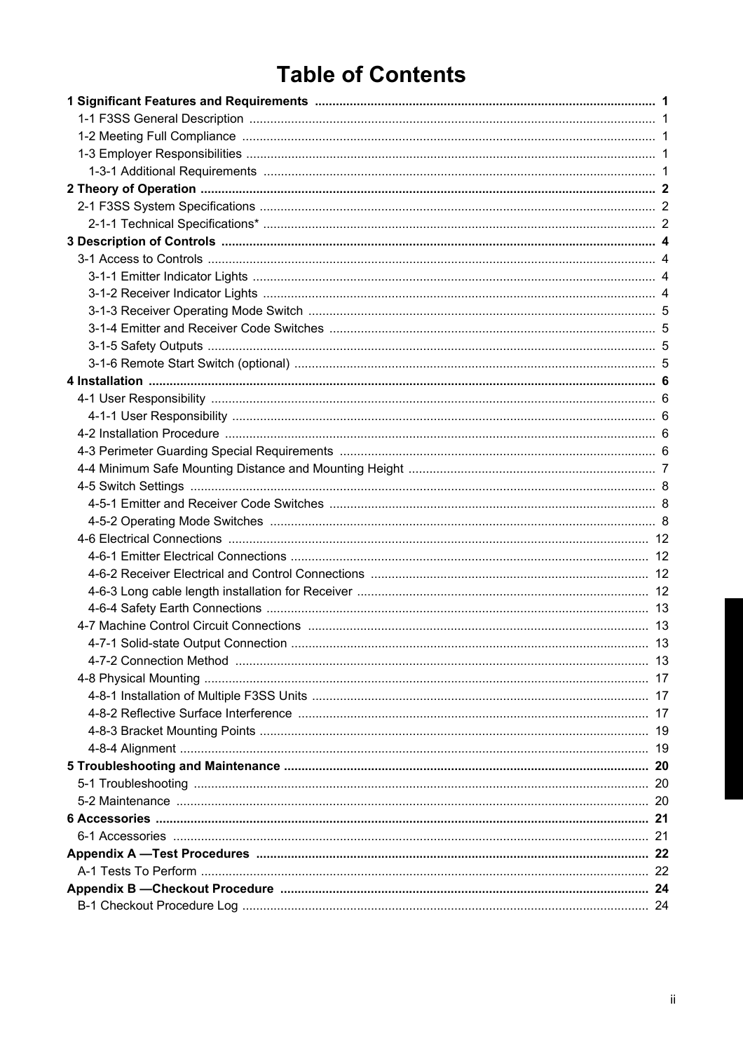## **Table of Contents**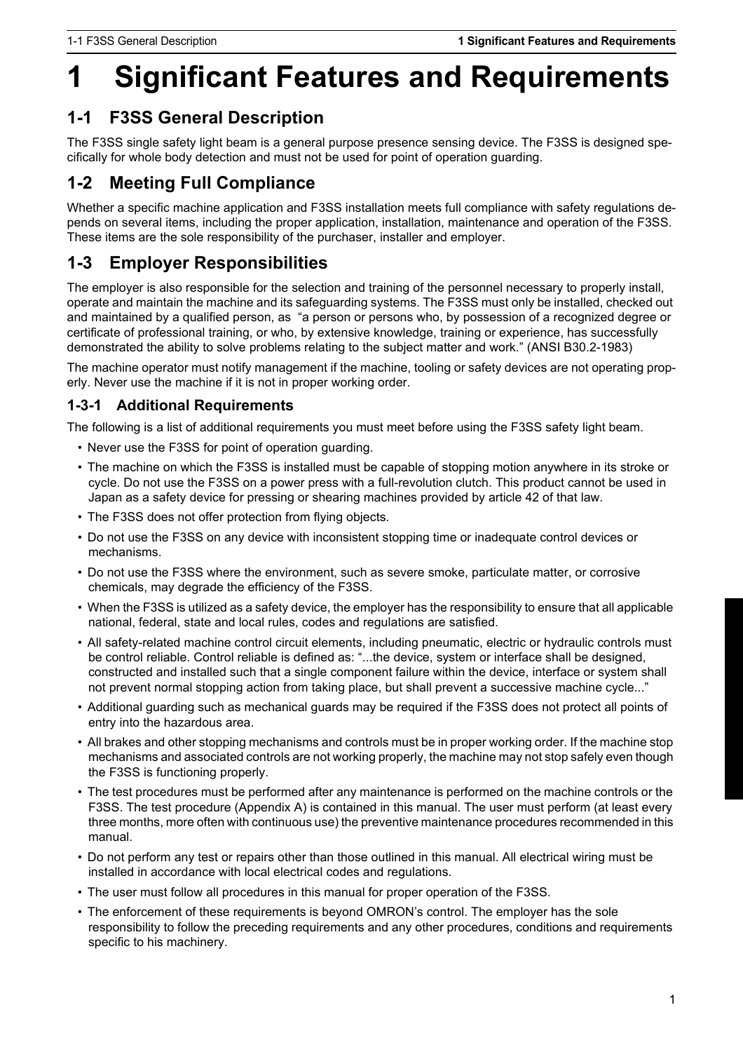## <span id="page-4-0"></span>**1 Significant Features and Requirements**

## <span id="page-4-1"></span>**1-1 F3SS General Description**

The F3SS single safety light beam is a general purpose presence sensing device. The F3SS is designed specifically for whole body detection and must not be used for point of operation guarding.

## <span id="page-4-2"></span>**1-2 Meeting Full Compliance**

Whether a specific machine application and F3SS installation meets full compliance with safety regulations depends on several items, including the proper application, installation, maintenance and operation of the F3SS. These items are the sole responsibility of the purchaser, installer and employer.

## <span id="page-4-3"></span>**1-3 Employer Responsibilities**

The employer is also responsible for the selection and training of the personnel necessary to properly install, operate and maintain the machine and its safeguarding systems. The F3SS must only be installed, checked out and maintained by a qualified person, as "a person or persons who, by possession of a recognized degree or certificate of professional training, or who, by extensive knowledge, training or experience, has successfully demonstrated the ability to solve problems relating to the subject matter and work." (ANSI B30.2-1983)

The machine operator must notify management if the machine, tooling or safety devices are not operating properly. Never use the machine if it is not in proper working order.

## <span id="page-4-4"></span>**1-3-1 Additional Requirements**

The following is a list of additional requirements you must meet before using the F3SS safety light beam.

- Never use the F3SS for point of operation guarding.
- The machine on which the F3SS is installed must be capable of stopping motion anywhere in its stroke or cycle. Do not use the F3SS on a power press with a full-revolution clutch. This product cannot be used in Japan as a safety device for pressing or shearing machines provided by article 42 of that law.
- The F3SS does not offer protection from flying objects.
- Do not use the F3SS on any device with inconsistent stopping time or inadequate control devices or mechanisms.
- Do not use the F3SS where the environment, such as severe smoke, particulate matter, or corrosive chemicals, may degrade the efficiency of the F3SS.
- When the F3SS is utilized as a safety device, the employer has the responsibility to ensure that all applicable national, federal, state and local rules, codes and regulations are satisfied.
- <span id="page-4-5"></span>• All safety-related machine control circuit elements, including pneumatic, electric or hydraulic controls must be control reliable. Control reliable is defined as: "...the device, system or interface shall be designed, constructed and installed such that a single component failure within the device, interface or system shall not prevent normal stopping action from taking place, but shall prevent a successive machine cycle..."
- Additional guarding such as mechanical guards may be required if the F3SS does not protect all points of entry into the hazardous area.
- All brakes and other stopping mechanisms and controls must be in proper working order. If the machine stop mechanisms and associated controls are not working properly, the machine may not stop safely even though the F3SS is functioning properly.
- The test procedures must be performed after any maintenance is performed on the machine controls or the F3SS. The test procedure [\(Appendix A](#page-25-0)) is contained in this manual. The user must perform (at least every three months, more often with continuous use) the preventive maintenance procedures recommended in this manual.
- Do not perform any test or repairs other than those outlined in this manual. All electrical wiring must be installed in accordance with local electrical codes and regulations.
- The user must follow all procedures in this manual for proper operation of the F3SS.
- The enforcement of these requirements is beyond OMRON's control. The employer has the sole responsibility to follow the preceding requirements and any other procedures, conditions and requirements specific to his machinery.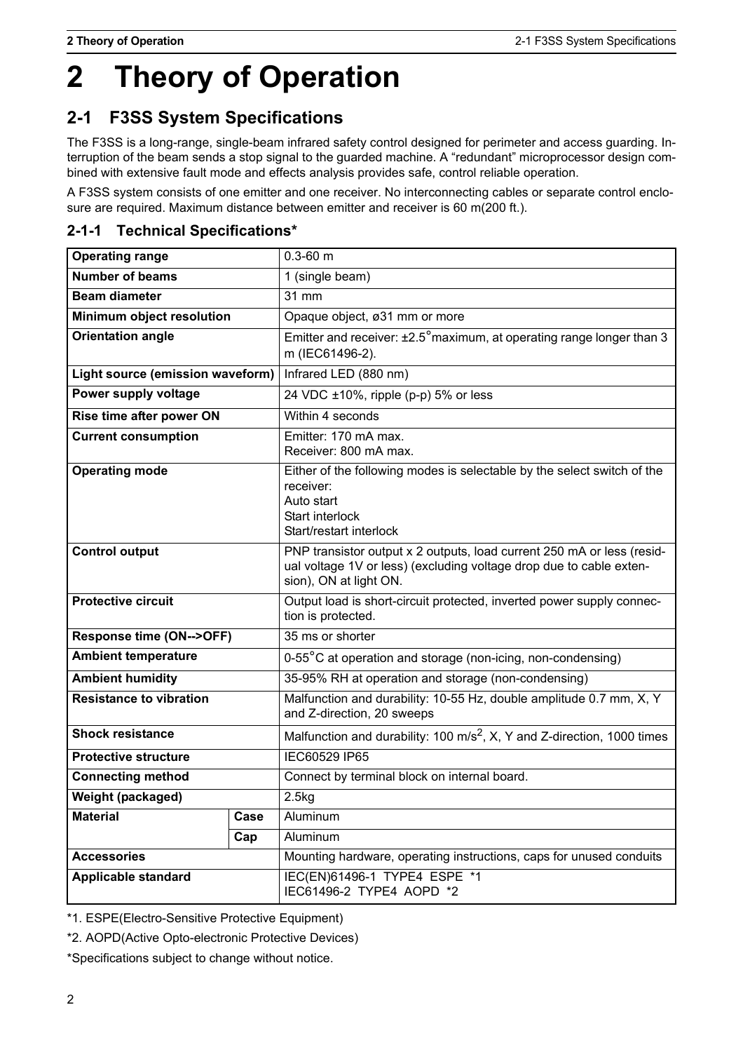## **2 Theory of Operation**

## <span id="page-5-0"></span>**2-1 F3SS System Specifications**

The F3SS is a long-range, single-beam infrared safety control designed for perimeter and access guarding. Interruption of the beam sends a stop signal to the guarded machine. A "redundant" microprocessor design combined with extensive fault mode and effects analysis provides safe, control reliable operation.

A F3SS system consists of one emitter and one receiver. No interconnecting cables or separate control enclosure are required. Maximum distance between emitter and receiver is 60 m(200 ft.).

### <span id="page-5-1"></span>**2-1-1 Technical Specifications\***

| <b>Operating range</b>           |     | $0.3 - 60$ m                                                                                                                                                            |  |  |
|----------------------------------|-----|-------------------------------------------------------------------------------------------------------------------------------------------------------------------------|--|--|
| <b>Number of beams</b>           |     | 1 (single beam)                                                                                                                                                         |  |  |
| <b>Beam diameter</b>             |     | 31 mm                                                                                                                                                                   |  |  |
| Minimum object resolution        |     | Opaque object, ø31 mm or more                                                                                                                                           |  |  |
| <b>Orientation angle</b>         |     | Emitter and receiver: $\pm 2.5^{\circ}$ maximum, at operating range longer than 3<br>m (IEC61496-2).                                                                    |  |  |
| Light source (emission waveform) |     | Infrared LED (880 nm)                                                                                                                                                   |  |  |
| Power supply voltage             |     | 24 VDC ±10%, ripple (p-p) 5% or less                                                                                                                                    |  |  |
| Rise time after power ON         |     | Within 4 seconds                                                                                                                                                        |  |  |
| <b>Current consumption</b>       |     | Emitter: 170 mA max.<br>Receiver: 800 mA max.                                                                                                                           |  |  |
| <b>Operating mode</b>            |     | Either of the following modes is selectable by the select switch of the<br>receiver:<br>Auto start<br><b>Start interlock</b><br>Start/restart interlock                 |  |  |
| <b>Control output</b>            |     | PNP transistor output x 2 outputs, load current 250 mA or less (resid-<br>ual voltage 1V or less) (excluding voltage drop due to cable exten-<br>sion), ON at light ON. |  |  |
| <b>Protective circuit</b>        |     | Output load is short-circuit protected, inverted power supply connec-<br>tion is protected.                                                                             |  |  |
| Response time (ON-->OFF)         |     | 35 ms or shorter                                                                                                                                                        |  |  |
| <b>Ambient temperature</b>       |     | 0-55°C at operation and storage (non-icing, non-condensing)                                                                                                             |  |  |
| <b>Ambient humidity</b>          |     | 35-95% RH at operation and storage (non-condensing)                                                                                                                     |  |  |
| <b>Resistance to vibration</b>   |     | Malfunction and durability: 10-55 Hz, double amplitude 0.7 mm, X, Y<br>and Z-direction, 20 sweeps                                                                       |  |  |
| <b>Shock resistance</b>          |     | Malfunction and durability: 100 m/s <sup>2</sup> , X, Y and Z-direction, 1000 times                                                                                     |  |  |
| <b>Protective structure</b>      |     | IEC60529 IP65                                                                                                                                                           |  |  |
| <b>Connecting method</b>         |     | Connect by terminal block on internal board.                                                                                                                            |  |  |
| Weight (packaged)                |     | 2.5kg                                                                                                                                                                   |  |  |
| <b>Material</b><br>Case          |     | Aluminum                                                                                                                                                                |  |  |
|                                  | Cap | Aluminum                                                                                                                                                                |  |  |
| <b>Accessories</b>               |     | Mounting hardware, operating instructions, caps for unused conduits                                                                                                     |  |  |
| <b>Applicable standard</b>       |     | IEC(EN)61496-1 TYPE4 ESPE *1<br>IEC61496-2 TYPE4 AOPD *2                                                                                                                |  |  |

\*1. ESPE(Electro-Sensitive Protective Equipment)

\*2. AOPD(Active Opto-electronic Protective Devices)

\*Specifications subject to change without notice.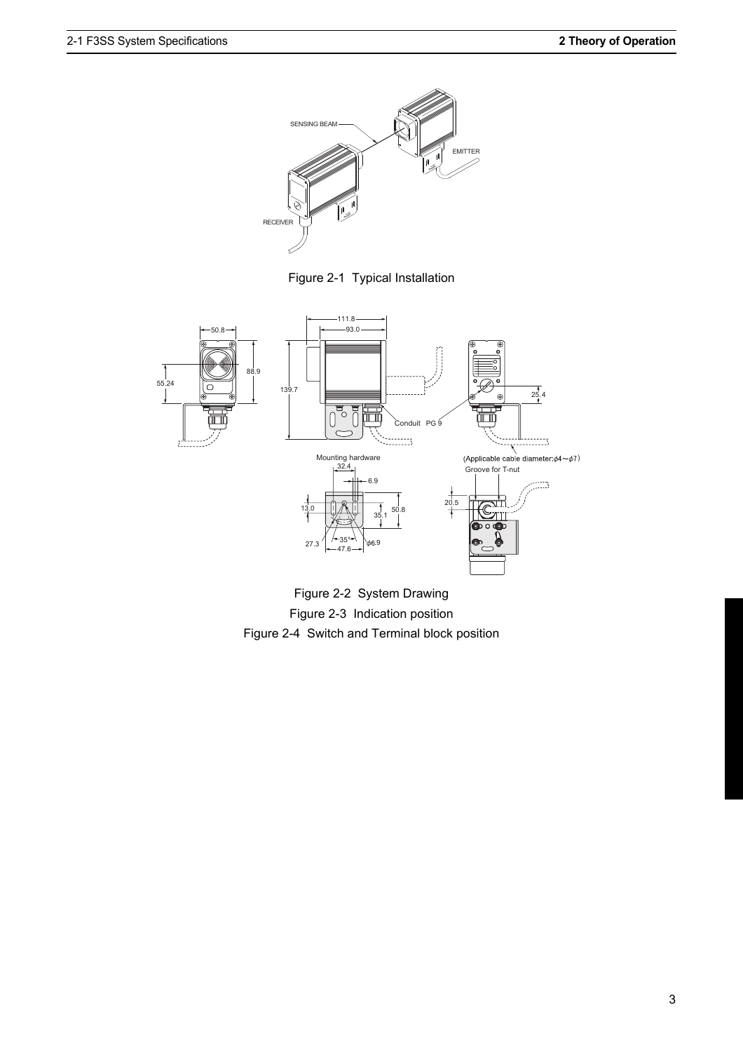

Figure 2-1 Typical Installation



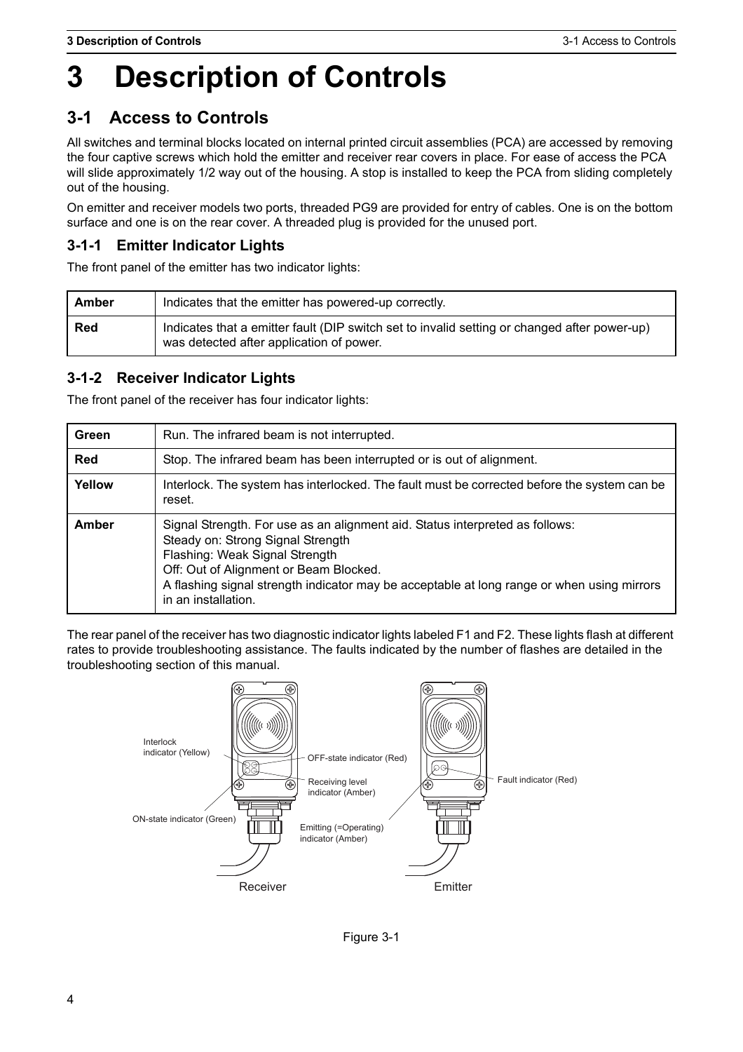## <span id="page-7-0"></span>**3 Description of Controls**

## <span id="page-7-1"></span>**3-1 Access to Controls**

All switches and terminal blocks located on internal printed circuit assemblies (PCA) are accessed by removing the four captive screws which hold the emitter and receiver rear covers in place. For ease of access the PCA will slide approximately 1/2 way out of the housing. A stop is installed to keep the PCA from sliding completely out of the housing.

On emitter and receiver models two ports, threaded PG9 are provided for entry of cables. One is on the bottom surface and one is on the rear cover. A threaded plug is provided for the unused port.

### <span id="page-7-2"></span>**3-1-1 Emitter Indicator Lights**

The front panel of the emitter has two indicator lights:

| Amber | Indicates that the emitter has powered-up correctly.                                                                                     |
|-------|------------------------------------------------------------------------------------------------------------------------------------------|
| Red   | Indicates that a emitter fault (DIP switch set to invalid setting or changed after power-up)<br>was detected after application of power. |

### <span id="page-7-3"></span>**3-1-2 Receiver Indicator Lights**

The front panel of the receiver has four indicator lights:

| Green  | Run. The infrared beam is not interrupted.                                                                                                                                                                                                                                                                         |
|--------|--------------------------------------------------------------------------------------------------------------------------------------------------------------------------------------------------------------------------------------------------------------------------------------------------------------------|
| Red    | Stop. The infrared beam has been interrupted or is out of alignment.                                                                                                                                                                                                                                               |
| Yellow | Interlock. The system has interlocked. The fault must be corrected before the system can be<br>reset.                                                                                                                                                                                                              |
| Amber  | Signal Strength. For use as an alignment aid. Status interpreted as follows:<br>Steady on: Strong Signal Strength<br>Flashing: Weak Signal Strength<br>Off: Out of Alignment or Beam Blocked.<br>A flashing signal strength indicator may be acceptable at long range or when using mirrors<br>in an installation. |

The rear panel of the receiver has two diagnostic indicator lights labeled F1 and F2. These lights flash at different rates to provide troubleshooting assistance. The faults indicated by the number of flashes are detailed in the troubleshooting section of this manual.

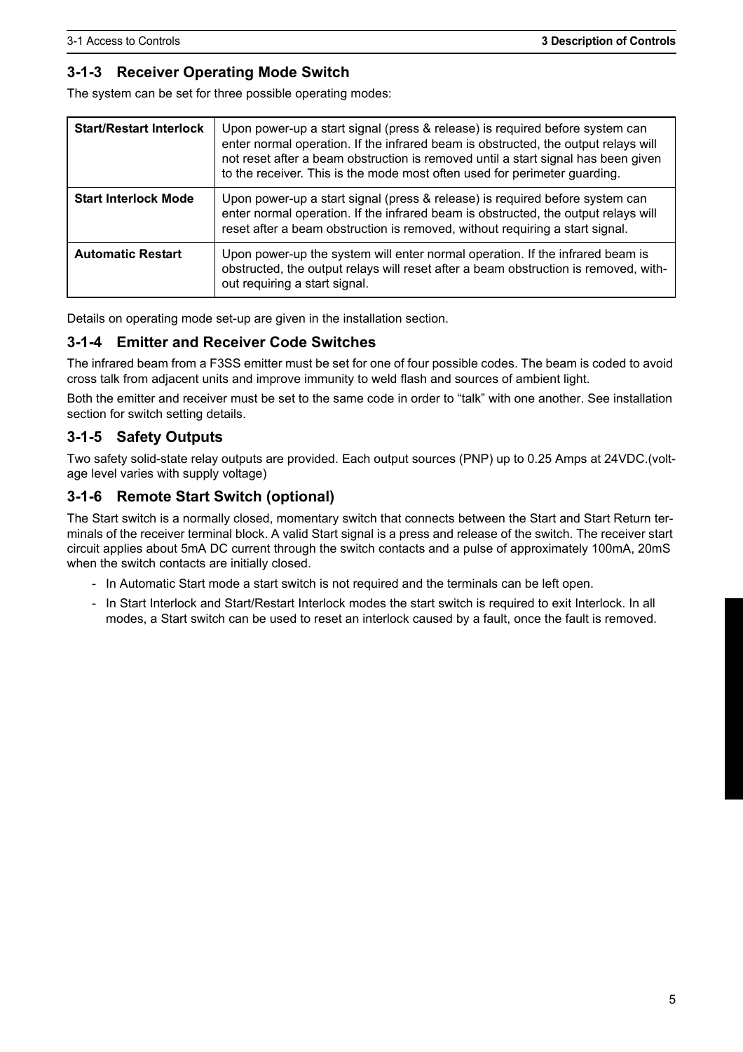## <span id="page-8-4"></span><span id="page-8-0"></span>**3-1-3 Receiver Operating Mode Switch**

The system can be set for three possible operating modes:

| <b>Start/Restart Interlock</b> | Upon power-up a start signal (press & release) is required before system can<br>enter normal operation. If the infrared beam is obstructed, the output relays will<br>not reset after a beam obstruction is removed until a start signal has been given<br>to the receiver. This is the mode most often used for perimeter guarding. |
|--------------------------------|--------------------------------------------------------------------------------------------------------------------------------------------------------------------------------------------------------------------------------------------------------------------------------------------------------------------------------------|
| <b>Start Interlock Mode</b>    | Upon power-up a start signal (press & release) is required before system can<br>enter normal operation. If the infrared beam is obstructed, the output relays will<br>reset after a beam obstruction is removed, without requiring a start signal.                                                                                   |
| <b>Automatic Restart</b>       | Upon power-up the system will enter normal operation. If the infrared beam is<br>obstructed, the output relays will reset after a beam obstruction is removed, with-<br>out requiring a start signal.                                                                                                                                |

<span id="page-8-1"></span>Details on operating mode set-up are given in the installation section.

### **3-1-4 Emitter and Receiver Code Switches**

The infrared beam from a F3SS emitter must be set for one of four possible codes. The beam is coded to avoid cross talk from adjacent units and improve immunity to weld flash and sources of ambient light.

Both the emitter and receiver must be set to the same code in order to "talk" with one another. See installation section for switch setting details.

## <span id="page-8-2"></span>**3-1-5 Safety Outputs**

Two safety solid-state relay outputs are provided. Each output sources (PNP) up to 0.25 Amps at 24VDC.(voltage level varies with supply voltage)

### <span id="page-8-3"></span>**3-1-6 Remote Start Switch (optional)**

The Start switch is a normally closed, momentary switch that connects between the Start and Start Return terminals of the receiver terminal block. A valid Start signal is a press and release of the switch. The receiver start circuit applies about 5mA DC current through the switch contacts and a pulse of approximately 100mA, 20mS when the switch contacts are initially closed.

- In Automatic Start mode a start switch is not required and the terminals can be left open.
- In Start Interlock and Start/Restart Interlock modes the start switch is required to exit Interlock. In all modes, a Start switch can be used to reset an interlock caused by a fault, once the fault is removed.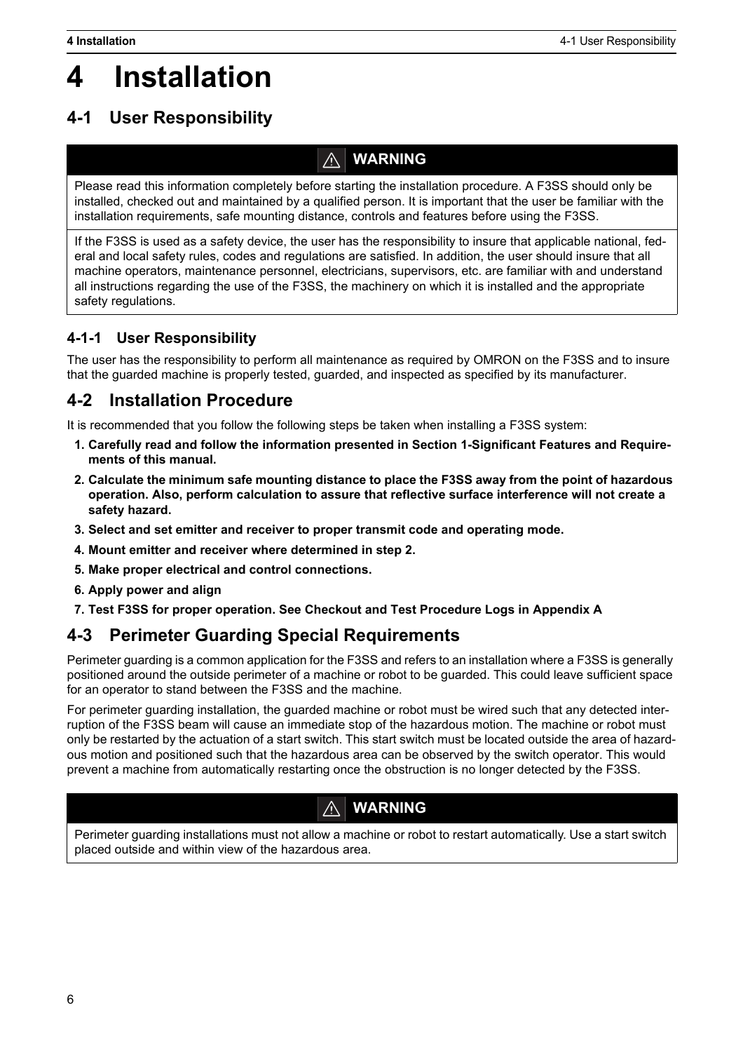## <span id="page-9-0"></span>**4 Installation**

## <span id="page-9-1"></span>**4-1 User Responsibility**

#### **WARNING**  $\bigwedge$

Please read this information completely before starting the installation procedure. A F3SS should only be installed, checked out and maintained by a qualified person. It is important that the user be familiar with the installation requirements, safe mounting distance, controls and features before using the F3SS.

If the F3SS is used as a safety device, the user has the responsibility to insure that applicable national, federal and local safety rules, codes and regulations are satisfied. In addition, the user should insure that all machine operators, maintenance personnel, electricians, supervisors, etc. are familiar with and understand all instructions regarding the use of the F3SS, the machinery on which it is installed and the appropriate safety regulations.

## <span id="page-9-2"></span>**4-1-1 User Responsibility**

The user has the responsibility to perform all maintenance as required by OMRON on the F3SS and to insure that the guarded machine is properly tested, guarded, and inspected as specified by its manufacturer.

## <span id="page-9-3"></span>**4-2 Installation Procedure**

It is recommended that you follow the following steps be taken when installing a F3SS system:

- **1. Carefully read and follow the information presented in Section 1-Significant Features and Requirements of this manual.**
- **2. Calculate the minimum safe mounting distance to place the F3SS away from the point of hazardous operation. Also, perform calculation to assure that reflective surface interference will not create a safety hazard.**
- **3. Select and set emitter and receiver to proper transmit code and operating mode.**
- **4. Mount emitter and receiver where determined in step 2.**
- **5. Make proper electrical and control connections.**
- **6. Apply power and align**
- <span id="page-9-4"></span>**7. Test F3SS for proper operation. See Checkout and Test Procedure Logs in Appendix A**

## **4-3 Perimeter Guarding Special Requirements**

Perimeter guarding is a common application for the F3SS and refers to an installation where a F3SS is generally positioned around the outside perimeter of a machine or robot to be guarded. This could leave sufficient space for an operator to stand between the F3SS and the machine.

For perimeter guarding installation, the guarded machine or robot must be wired such that any detected interruption of the F3SS beam will cause an immediate stop of the hazardous motion. The machine or robot must only be restarted by the actuation of a start switch. This start switch must be located outside the area of hazardous motion and positioned such that the hazardous area can be observed by the switch operator. This would prevent a machine from automatically restarting once the obstruction is no longer detected by the F3SS.

#### **WARNING** Λ

Perimeter guarding installations must not allow a machine or robot to restart automatically. Use a start switch placed outside and within view of the hazardous area.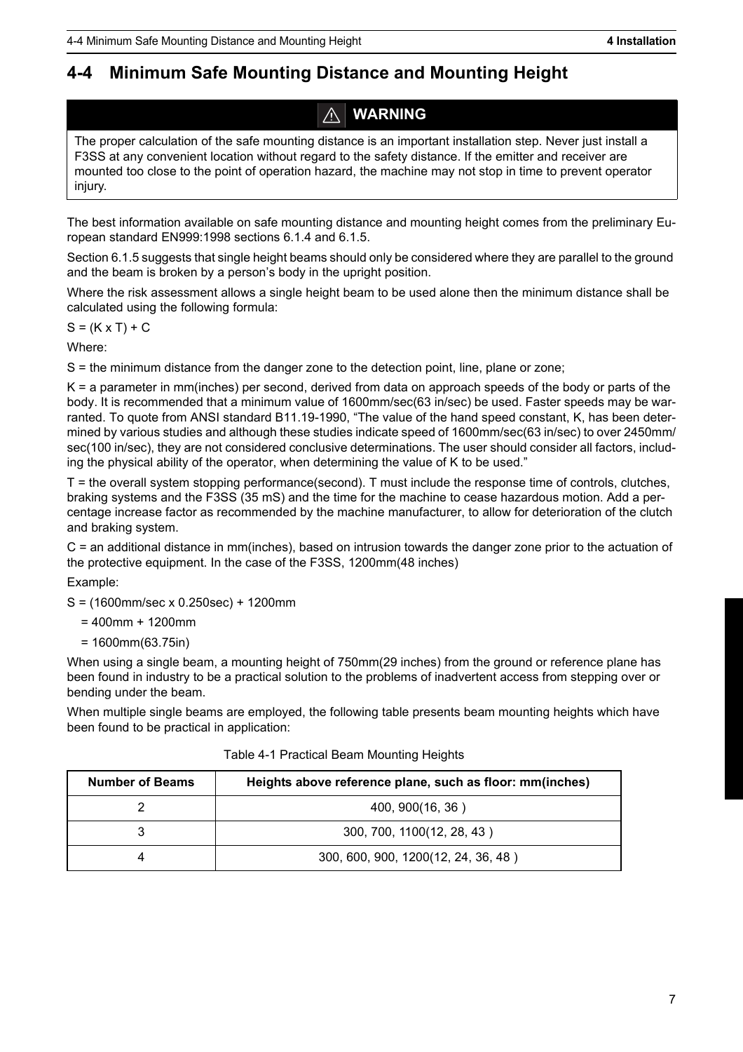## <span id="page-10-0"></span>**4-4 Minimum Safe Mounting Distance and Mounting Height**

## **WARNING**

The proper calculation of the safe mounting distance is an important installation step. Never just install a F3SS at any convenient location without regard to the safety distance. If the emitter and receiver are mounted too close to the point of operation hazard, the machine may not stop in time to prevent operator injury.

The best information available on safe mounting distance and mounting height comes from the preliminary European standard EN999:1998 sections 6.1.4 and 6.1.5.

Section 6.1.5 suggests that single height beams should only be considered where they are parallel to the ground and the beam is broken by a person's body in the upright position.

Where the risk assessment allows a single height beam to be used alone then the minimum distance shall be calculated using the following formula:

 $S = (K \times T) + C$ 

Where:

S = the minimum distance from the danger zone to the detection point, line, plane or zone;

K = a parameter in mm(inches) per second, derived from data on approach speeds of the body or parts of the body. It is recommended that a minimum value of 1600mm/sec(63 in/sec) be used. Faster speeds may be warranted. To quote from ANSI standard B11.19-1990, "The value of the hand speed constant, K, has been determined by various studies and although these studies indicate speed of 1600mm/sec(63 in/sec) to over 2450mm/ sec(100 in/sec), they are not considered conclusive determinations. The user should consider all factors, including the physical ability of the operator, when determining the value of K to be used."

T = the overall system stopping performance(second). T must include the response time of controls, clutches, braking systems and the F3SS (35 mS) and the time for the machine to cease hazardous motion. Add a percentage increase factor as recommended by the machine manufacturer, to allow for deterioration of the clutch and braking system.

C = an additional distance in mm(inches), based on intrusion towards the danger zone prior to the actuation of the protective equipment. In the case of the F3SS, 1200mm(48 inches)

Example:

S = (1600mm/sec x 0.250sec) + 1200mm

- = 400mm + 1200mm
- = 1600mm(63.75in)

When using a single beam, a mounting height of 750mm(29 inches) from the ground or reference plane has been found in industry to be a practical solution to the problems of inadvertent access from stepping over or bending under the beam.

When multiple single beams are employed, the following table presents beam mounting heights which have been found to be practical in application:

| <b>Number of Beams</b> | Heights above reference plane, such as floor: mm(inches) |  |  |  |
|------------------------|----------------------------------------------------------|--|--|--|
|                        | 400, 900(16, 36)                                         |  |  |  |
|                        | 300, 700, 1100(12, 28, 43)                               |  |  |  |
|                        | 300, 600, 900, 1200(12, 24, 36, 48)                      |  |  |  |

#### Table 4-1 Practical Beam Mounting Heights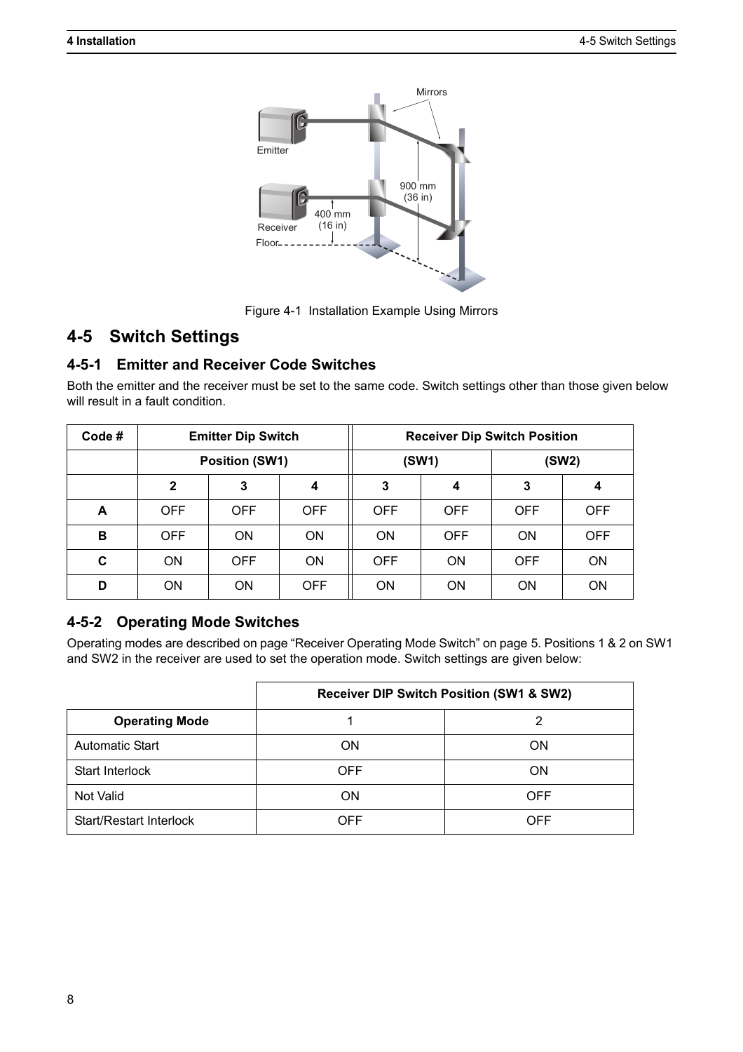

Figure 4-1 Installation Example Using Mirrors

## <span id="page-11-0"></span>**4-5 Switch Settings**

#### <span id="page-11-1"></span>**4-5-1 Emitter and Receiver Code Switches**

Both the emitter and the receiver must be set to the same code. Switch settings other than those given below will result in a fault condition.

| Code # |                       | <b>Emitter Dip Switch</b> |            | <b>Receiver Dip Switch Position</b> |            |            |            |  |
|--------|-----------------------|---------------------------|------------|-------------------------------------|------------|------------|------------|--|
|        | <b>Position (SW1)</b> |                           |            |                                     | (SW1)      | (SW2)      |            |  |
|        | $\mathbf{2}$          | 3                         | 4          | 3                                   |            | 3          | 4          |  |
| A      | <b>OFF</b>            | OFF                       | <b>OFF</b> | <b>OFF</b>                          | <b>OFF</b> | <b>OFF</b> | <b>OFF</b> |  |
| B      | <b>OFF</b>            | <b>ON</b>                 | <b>ON</b>  | <b>ON</b>                           | <b>OFF</b> | <b>ON</b>  | <b>OFF</b> |  |
| C      | <b>ON</b>             | <b>OFF</b>                | <b>ON</b>  | <b>OFF</b>                          | <b>ON</b>  | <b>OFF</b> | ON         |  |
| D      | <b>ON</b>             | <b>ON</b>                 | <b>OFF</b> | <b>ON</b>                           | <b>ON</b>  | <b>ON</b>  | ON         |  |

### <span id="page-11-2"></span>**4-5-2 Operating Mode Switches**

Operating modes are described on page ["Receiver Operating Mode Switch" on page 5.](#page-8-4) Positions 1 & 2 on SW1 and SW2 in the receiver are used to set the operation mode. Switch settings are given below:

|                                | <b>Receiver DIP Switch Position (SW1 &amp; SW2)</b> |            |  |  |  |
|--------------------------------|-----------------------------------------------------|------------|--|--|--|
| <b>Operating Mode</b>          |                                                     | 2          |  |  |  |
| <b>Automatic Start</b>         | ΟN                                                  | ON         |  |  |  |
| <b>Start Interlock</b>         | <b>OFF</b>                                          | ON         |  |  |  |
| Not Valid                      | ON                                                  | <b>OFF</b> |  |  |  |
| <b>Start/Restart Interlock</b> | OFF.                                                | <b>OFF</b> |  |  |  |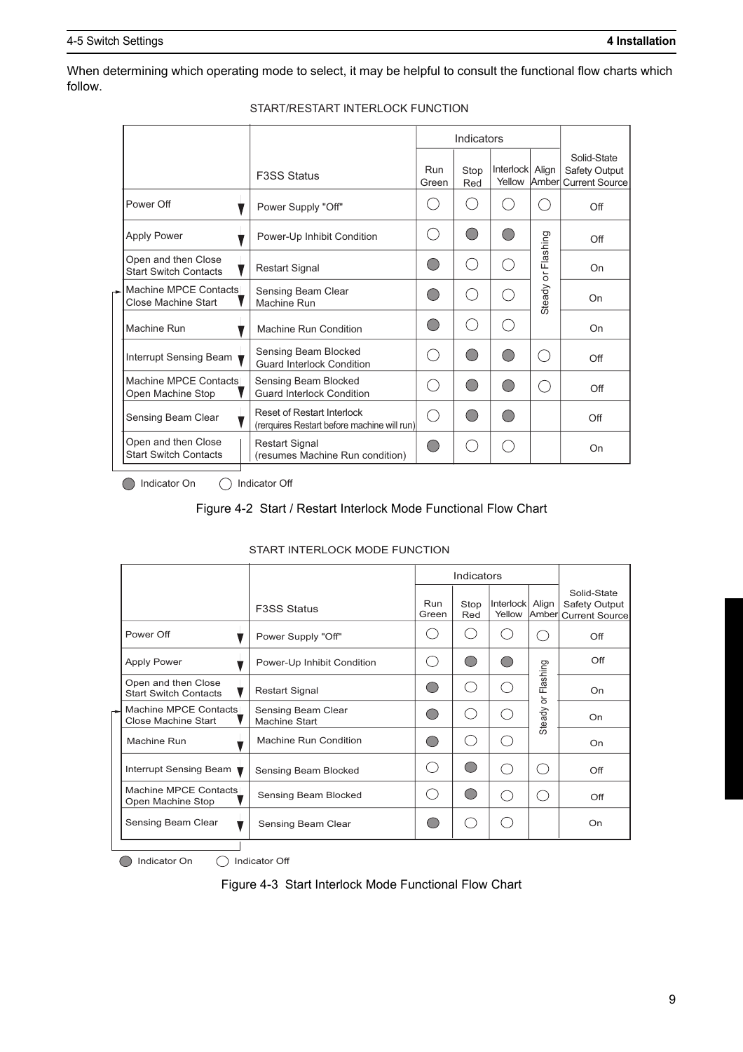When determining which operating mode to select, it may be helpful to consult the functional flow charts which follow.

|  | START/RESTART INTERLOCK FUNCTION |
|--|----------------------------------|
|--|----------------------------------|

|                                                     |                                                                           |                | Indicators       |                           |                                      |                                                             |
|-----------------------------------------------------|---------------------------------------------------------------------------|----------------|------------------|---------------------------|--------------------------------------|-------------------------------------------------------------|
|                                                     | <b>F3SS Status</b>                                                        | Run<br>Green   | Stop<br>Red      | Interlock Alian<br>Yellow |                                      | Solid-State<br><b>Safety Output</b><br>Amber Current Source |
| Power Off                                           | Power Supply "Off"                                                        |                |                  |                           | C.                                   | Off                                                         |
| <b>Apply Power</b>                                  | Power-Up Inhibit Condition                                                |                | $(\ )$           |                           |                                      | Off                                                         |
| Open and then Close<br><b>Start Switch Contacts</b> | <b>Restart Signal</b>                                                     |                | ſ.               |                           | Flashing<br>$\overleftarrow{\sigma}$ | On                                                          |
| Machine MPCE Contacts<br><b>Close Machine Start</b> | Sensing Beam Clear<br>Machine Run                                         |                | t i              |                           | Steady                               | On                                                          |
| Machine Run                                         | Machine Run Condition                                                     |                | ſ.               |                           |                                      | On                                                          |
| Interrupt Sensing Beam                              | Sensing Beam Blocked<br><b>Guard Interlock Condition</b>                  |                | $(\ )$           |                           |                                      | Off                                                         |
| Machine MPCE Contacts<br>Open Machine Stop          | Sensing Beam Blocked<br><b>Guard Interlock Condition</b>                  |                | $\overline{(-)}$ |                           | n.                                   | Off                                                         |
| Sensing Beam Clear                                  | Reset of Restart Interlock<br>(rerquires Restart before machine will run) | 53             |                  |                           |                                      | Off                                                         |
| Open and then Close<br><b>Start Switch Contacts</b> | <b>Restart Signal</b><br>(resumes Machine Run condition)                  | $\overline{ }$ |                  |                           |                                      | On                                                          |
|                                                     |                                                                           |                |                  |                           |                                      |                                                             |

Indicator On C Indicator Off

#### Figure 4-2 Start / Restart Interlock Mode Functional Flow Chart

|                                                     |                                     |              | Indicators  |                     |                                 |                                                      |
|-----------------------------------------------------|-------------------------------------|--------------|-------------|---------------------|---------------------------------|------------------------------------------------------|
|                                                     | <b>F3SS Status</b>                  | Run<br>Green | Stop<br>Red | Interlock<br>Yellow | Align                           | Solid-State<br>Safety Output<br>Amber Current Source |
| Power Off                                           | Power Supply "Off"                  |              |             |                     |                                 | Off                                                  |
| <b>Apply Power</b>                                  | Power-Up Inhibit Condition          |              |             |                     |                                 | Off                                                  |
| Open and then Close<br><b>Start Switch Contacts</b> | <b>Restart Signal</b>               | ( )          |             |                     | Flashing<br>$\overline{\sigma}$ | On                                                   |
| Machine MPCE Contacts<br>Close Machine Start        | Sensing Beam Clear<br>Machine Start |              |             |                     | Steady                          | On                                                   |
| Machine Run                                         | Machine Run Condition               | $(\quad)$    |             |                     |                                 | On                                                   |
| Interrupt Sensing Beam                              | Sensing Beam Blocked                |              |             |                     |                                 | Off                                                  |
| Machine MPCE Contacts<br>Open Machine Stop          | Sensing Beam Blocked                |              |             |                     | 75                              | $\bigcirc$ ff                                        |
| Sensing Beam Clear                                  | Sensing Beam Clear                  |              |             |                     |                                 | On                                                   |

#### START INTERLOCK MODE FUNCTION

Indicator On  $\bigcirc$  Indicator Off

Figure 4-3 Start Interlock Mode Functional Flow Chart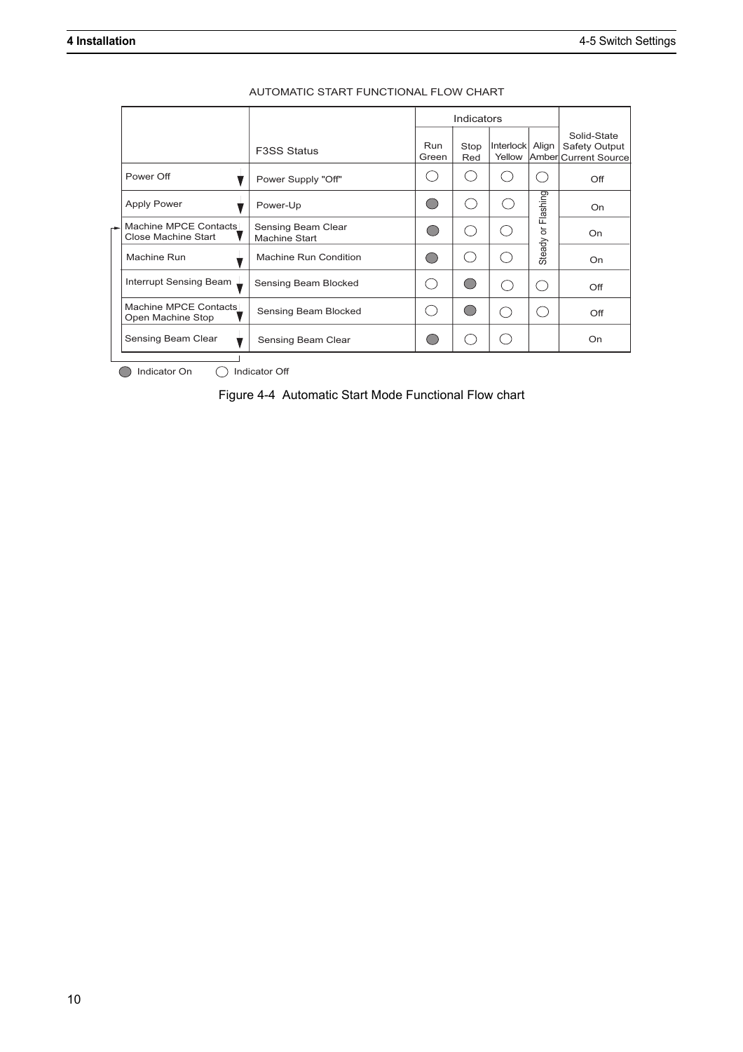|  |                                                     | Indicators                          |                  |                  |                     |                                      |                                                      |
|--|-----------------------------------------------------|-------------------------------------|------------------|------------------|---------------------|--------------------------------------|------------------------------------------------------|
|  |                                                     | <b>F3SS Status</b>                  | Run<br>Green     | Stop<br>Red      | Interlock<br>Yellow | Align                                | Solid-State<br>Safety Output<br>Amber Current Source |
|  | Power Off                                           | Power Supply "Off"                  |                  |                  |                     |                                      | Off                                                  |
|  | <b>Apply Power</b>                                  | Power-Up                            | $\overline{(-)}$ | С.               |                     | Flashing<br>$\overleftarrow{\sigma}$ | On                                                   |
|  | Machine MPCE Contacts<br><b>Close Machine Start</b> | Sensing Beam Clear<br>Machine Start |                  |                  |                     |                                      | O <sub>n</sub>                                       |
|  | Machine Run                                         | <b>Machine Run Condition</b>        | $\overline{ }$   |                  |                     | Steady                               | O <sub>n</sub>                                       |
|  | Interrupt Sensing Beam                              | Sensing Beam Blocked                |                  | $\overline{(\ }$ |                     |                                      | Off                                                  |
|  | Machine MPCE Contacts<br>Open Machine Stop          | Sensing Beam Blocked                |                  |                  |                     | .                                    | $\overline{C}$                                       |
|  | Sensing Beam Clear                                  | Sensing Beam Clear                  | $\overline{(\ }$ |                  |                     |                                      | O <sub>n</sub>                                       |

#### AUTOMATIC START FUNCTIONAL FLOW CHART

Indicator On  $\bigcirc$  Indicator Off

Figure 4-4 Automatic Start Mode Functional Flow chart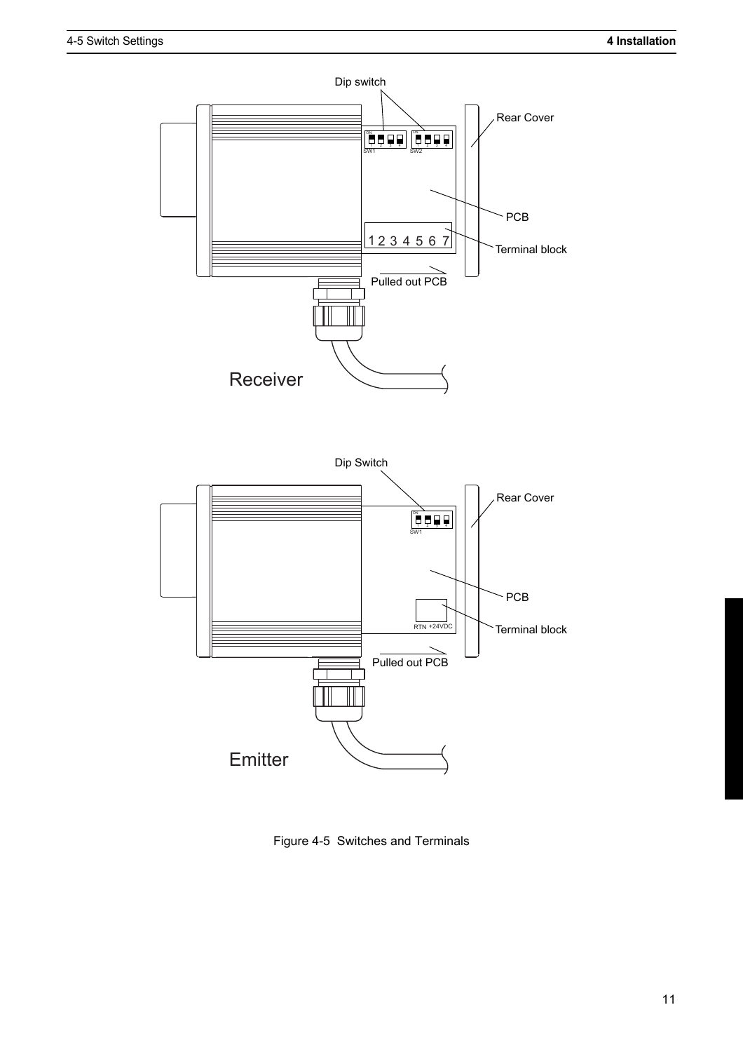



Figure 4-5 Switches and Terminals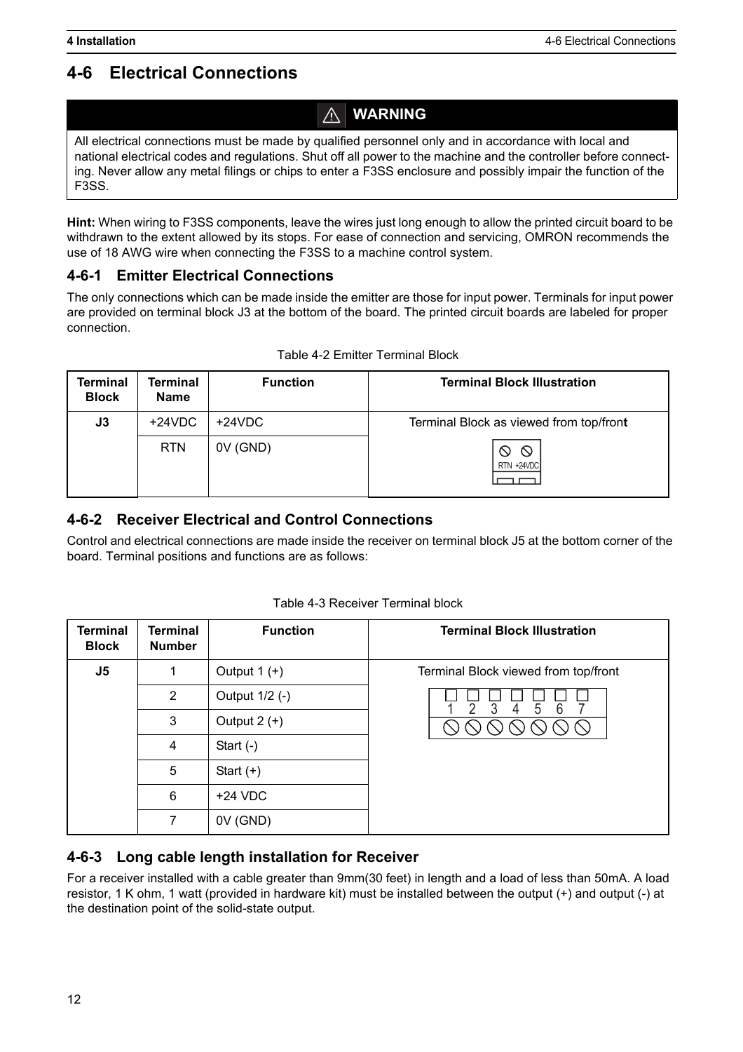## <span id="page-15-0"></span>**4-6 Electrical Connections**

#### **WARNING** Λ

All electrical connections must be made by qualified personnel only and in accordance with local and national electrical codes and regulations. Shut off all power to the machine and the controller before connecting. Never allow any metal filings or chips to enter a F3SS enclosure and possibly impair the function of the F3SS.

**Hint:** When wiring to F3SS components, leave the wires just long enough to allow the printed circuit board to be withdrawn to the extent allowed by its stops. For ease of connection and servicing, OMRON recommends the use of 18 AWG wire when connecting the F3SS to a machine control system.

### <span id="page-15-1"></span>**4-6-1 Emitter Electrical Connections**

The only connections which can be made inside the emitter are those for input power. Terminals for input power are provided on terminal block J3 at the bottom of the board. The printed circuit boards are labeled for proper connection.

| <b>Terminal</b><br><b>Block</b> | <b>Terminal</b><br><b>Name</b> | <b>Function</b> | <b>Terminal Block Illustration</b>      |
|---------------------------------|--------------------------------|-----------------|-----------------------------------------|
| J3                              | +24VDC                         | $+24VDC$        | Terminal Block as viewed from top/front |
|                                 | <b>RTN</b>                     | $OV$ (GND)      | ∾<br>$\circ$<br>RTN +24VDC              |

#### Table 4-2 Emitter Terminal Block

### <span id="page-15-2"></span>**4-6-2 Receiver Electrical and Control Connections**

Control and electrical connections are made inside the receiver on terminal block J5 at the bottom corner of the board. Terminal positions and functions are as follows:

| <b>Terminal</b><br><b>Block</b> | <b>Terminal</b><br><b>Number</b> | <b>Function</b> | <b>Terminal Block Illustration</b>   |
|---------------------------------|----------------------------------|-----------------|--------------------------------------|
| J <sub>5</sub>                  | 1                                | Output $1 (+)$  | Terminal Block viewed from top/front |
|                                 | $\overline{2}$                   | Output 1/2 (-)  | 5<br>3<br>$\mathcal{P}$<br>6<br>4    |
|                                 | 3                                | Output $2 (+)$  |                                      |
|                                 | 4                                | Start $(-)$     |                                      |
|                                 | 5                                | Start $(+)$     |                                      |
|                                 | 6                                | $+24$ VDC       |                                      |
|                                 | 7                                | 0V (GND)        |                                      |

#### Table 4-3 Receiver Terminal block

#### <span id="page-15-3"></span>**4-6-3 Long cable length installation for Receiver**

For a receiver installed with a cable greater than 9mm(30 feet) in length and a load of less than 50mA. A load resistor, 1 K ohm, 1 watt (provided in hardware kit) must be installed between the output (+) and output (-) at the destination point of the solid-state output.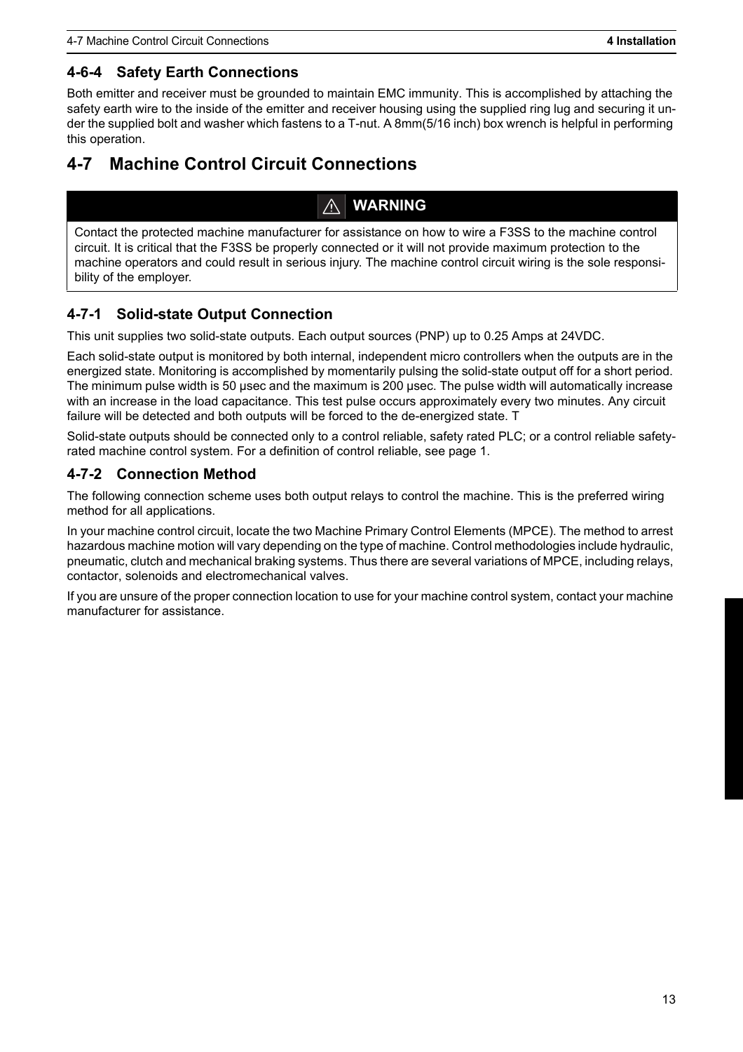### <span id="page-16-0"></span>**4-6-4 Safety Earth Connections**

Both emitter and receiver must be grounded to maintain EMC immunity. This is accomplished by attaching the safety earth wire to the inside of the emitter and receiver housing using the supplied ring lug and securing it under the supplied bolt and washer which fastens to a T-nut. A 8mm(5/16 inch) box wrench is helpful in performing this operation.

## <span id="page-16-1"></span>**4-7 Machine Control Circuit Connections**

#### **WARNING** Λ

Contact the protected machine manufacturer for assistance on how to wire a F3SS to the machine control circuit. It is critical that the F3SS be properly connected or it will not provide maximum protection to the machine operators and could result in serious injury. The machine control circuit wiring is the sole responsibility of the employer.

### <span id="page-16-2"></span>**4-7-1 Solid-state Output Connection**

This unit supplies two solid-state outputs. Each output sources (PNP) up to 0.25 Amps at 24VDC.

Each solid-state output is monitored by both internal, independent micro controllers when the outputs are in the energized state. Monitoring is accomplished by momentarily pulsing the solid-state output off for a short period. The minimum pulse width is 50 µsec and the maximum is 200 µsec. The pulse width will automatically increase with an increase in the load capacitance. This test pulse occurs approximately every two minutes. Any circuit failure will be detected and both outputs will be forced to the de-energized state. T

Solid-state outputs should be connected only to a control reliable, safety rated PLC; or a control reliable safetyrated machine control system. For a definition of control reliable, see page [1.](#page-4-5)

### <span id="page-16-3"></span>**4-7-2 Connection Method**

The following connection scheme uses both output relays to control the machine. This is the preferred wiring method for all applications.

In your machine control circuit, locate the two Machine Primary Control Elements (MPCE). The method to arrest hazardous machine motion will vary depending on the type of machine. Control methodologies include hydraulic, pneumatic, clutch and mechanical braking systems. Thus there are several variations of MPCE, including relays, contactor, solenoids and electromechanical valves.

If you are unsure of the proper connection location to use for your machine control system, contact your machine manufacturer for assistance.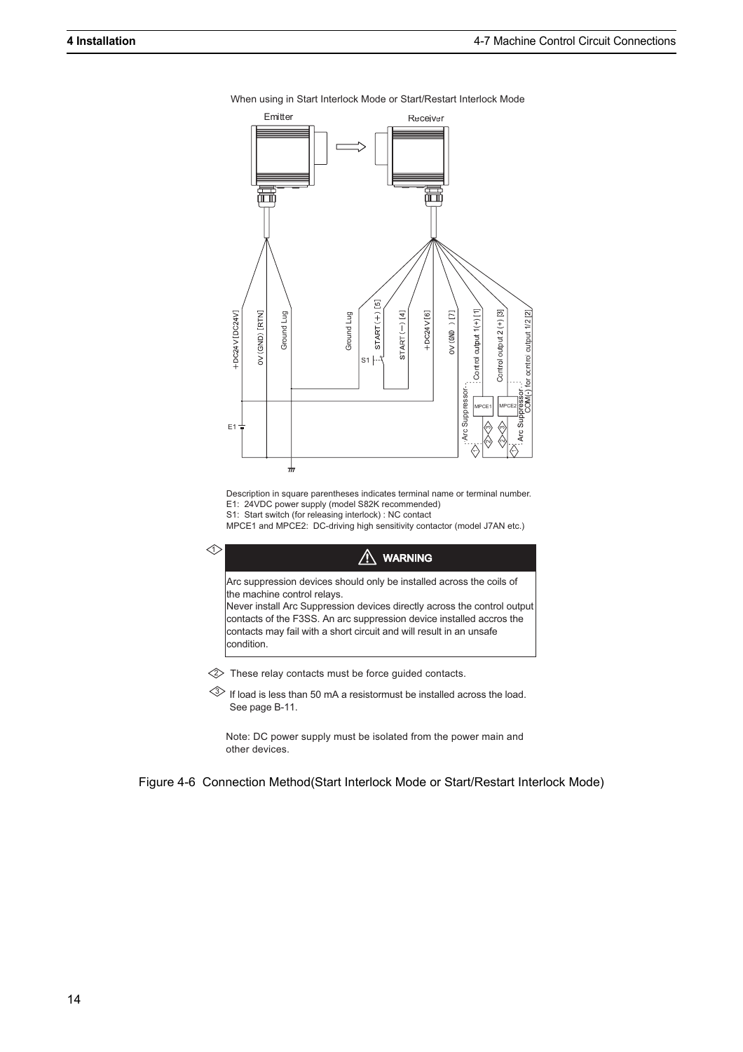

When using in Start Interlock Mode or Start/Restart Interlock Mode

Description in square parentheses indicates terminal name or terminal number. E1: 24VDC power supply (model S82K recommended)

S1: Start switch (for releasing interlock) : NC contact

MPCE1 and MPCE2: DC-driving high sensitivity contactor (model J7AN etc.)



- $\Diamond$  These relay contacts must be force guided contacts.
	- $3$  If load is less than 50 mA a resistormust be installed across the load. See page B-11.

Note: DC power supply must be isolated from the power main and other devices.

Figure 4-6 Connection Method(Start Interlock Mode or Start/Restart Interlock Mode)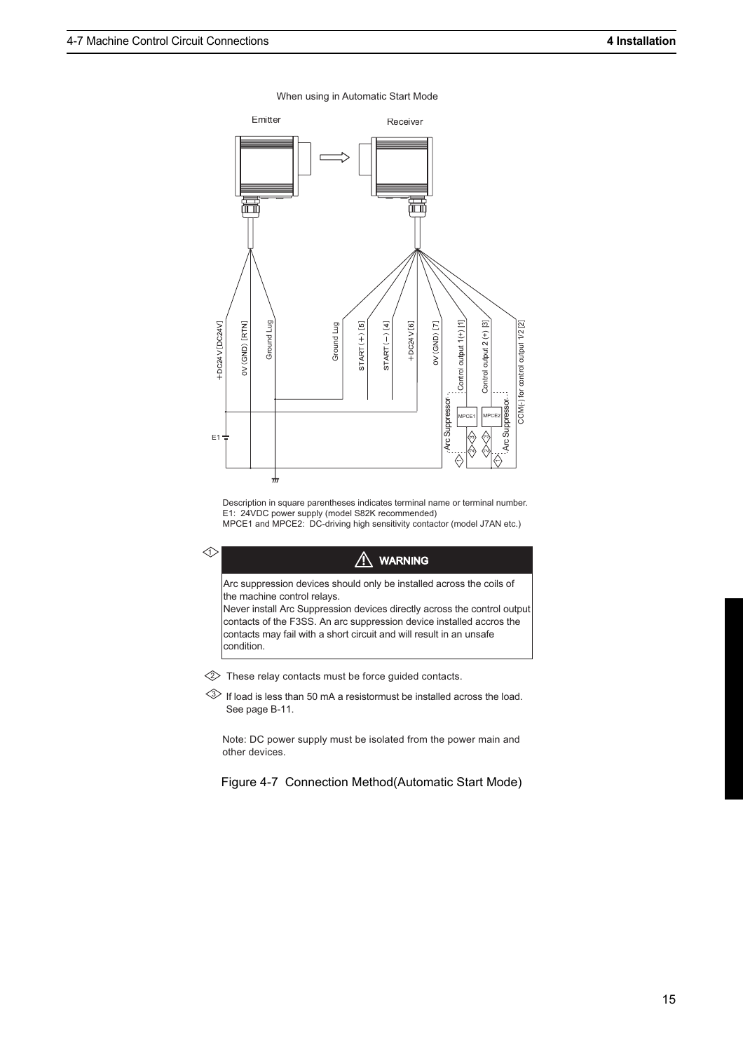#### When using in Automatic Start Mode



Description in square parentheses indicates terminal name or terminal number. E1: 24VDC power supply (model S82K recommended)





 $\Diamond$  These relay contacts must be force guided contacts.

 $\frac{3}{3}$  If load is less than 50 mA a resistormust be installed across the load. See page B-11.

Note: DC power supply must be isolated from the power main and other devices.

Figure 4-7 Connection Method(Automatic Start Mode)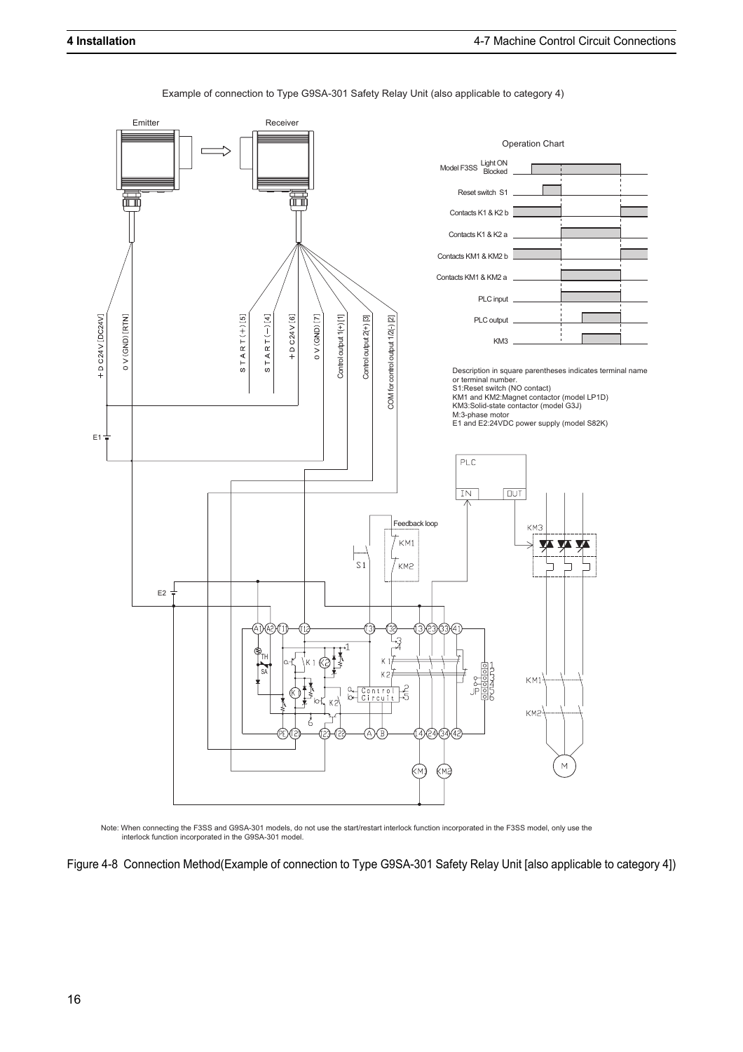

Example of connection to Type G9SA-301 Safety Relay Unit (also applicable to category 4)

Note: When connecting the F3SS and G9SA-301 models, do not use the start/restart interlock function incorporated in the F3SS model, only use the interlock function incorporated in the G9SA-301 model.

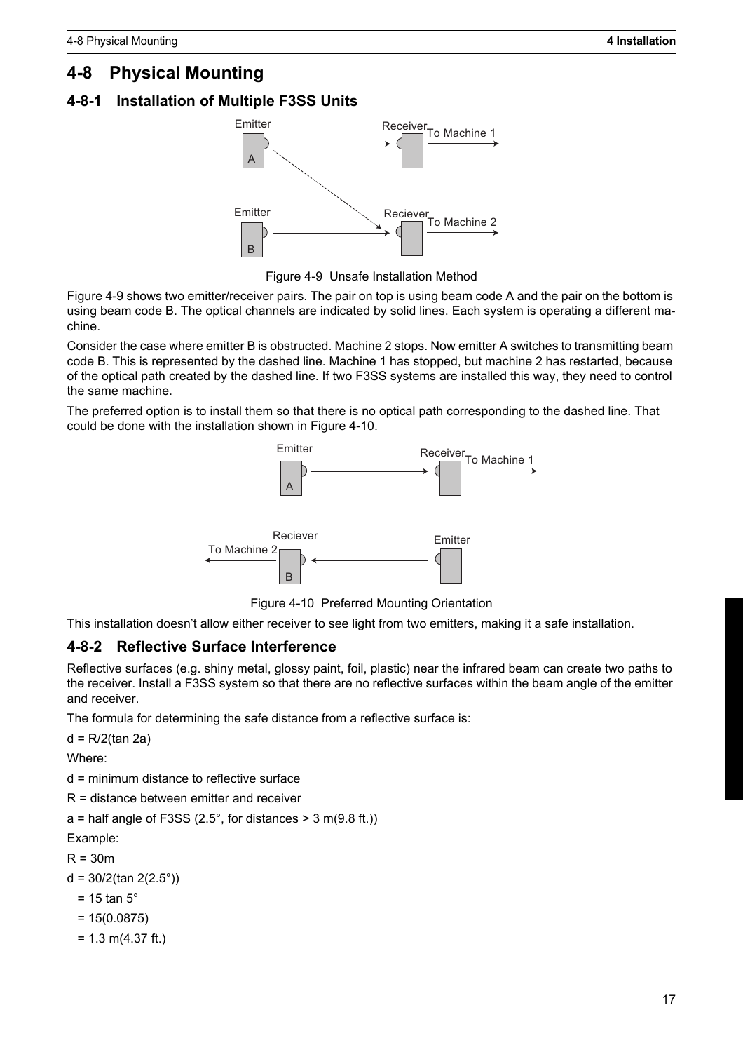## <span id="page-20-0"></span>**4-8 Physical Mounting**

### <span id="page-20-1"></span>**4-8-1 Installation of Multiple F3SS Units**



Figure 4-9 Unsafe Installation Method

<span id="page-20-3"></span>[Figure 4-9](#page-20-3) shows two emitter/receiver pairs. The pair on top is using beam code A and the pair on the bottom is using beam code B. The optical channels are indicated by solid lines. Each system is operating a different machine.

Consider the case where emitter B is obstructed. Machine 2 stops. Now emitter A switches to transmitting beam code B. This is represented by the dashed line. Machine 1 has stopped, but machine 2 has restarted, because of the optical path created by the dashed line. If two F3SS systems are installed this way, they need to control the same machine.

The preferred option is to install them so that there is no optical path corresponding to the dashed line. That could be done with the installation shown in [Figure 4-10.](#page-20-4)



Figure 4-10 Preferred Mounting Orientation

<span id="page-20-4"></span><span id="page-20-2"></span>This installation doesn't allow either receiver to see light from two emitters, making it a safe installation.

### **4-8-2 Reflective Surface Interference**

Reflective surfaces (e.g. shiny metal, glossy paint, foil, plastic) near the infrared beam can create two paths to the receiver. Install a F3SS system so that there are no reflective surfaces within the beam angle of the emitter and receiver.

The formula for determining the safe distance from a reflective surface is:

 $d = R/2$ (tan 2a)

Where:

d = minimum distance to reflective surface

R = distance between emitter and receiver

```
a = half angle of F3SS (2.5°, for distances > 3 m(9.8 ft.))
```
Example:

 $R = 30m$ 

 $d = 30/2$ (tan 2(2.5°))

- $= 15$  tan  $5^\circ$
- $= 15(0.0875)$
- $= 1.3$  m(4.37 ft.)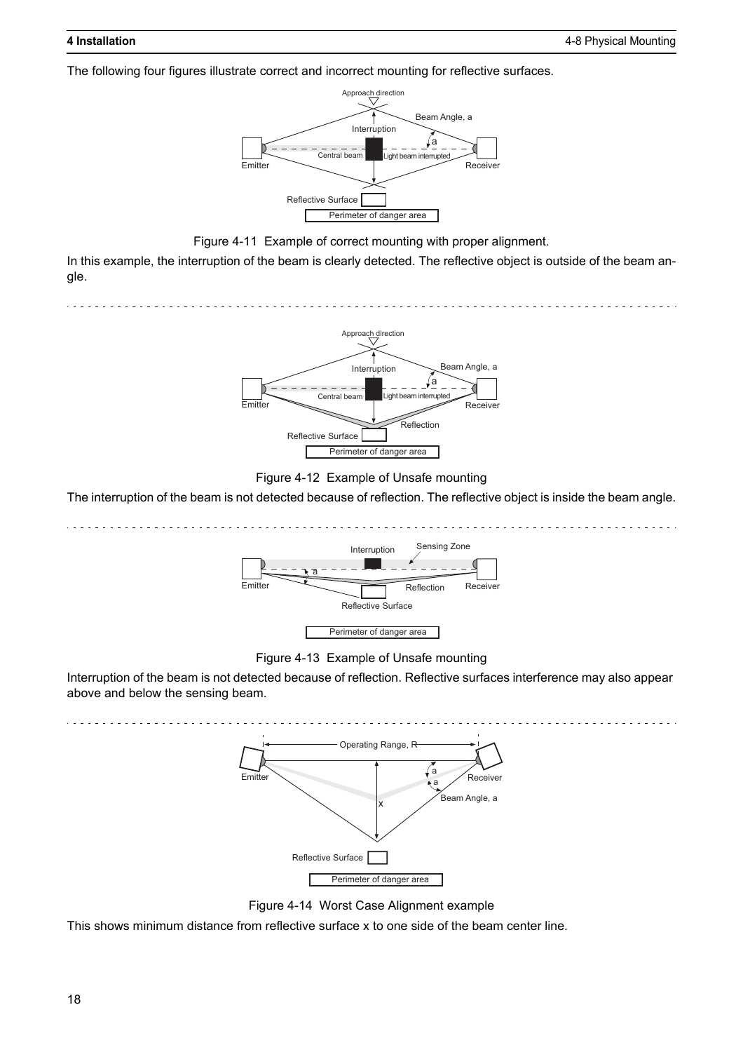The following four figures illustrate correct and incorrect mounting for reflective surfaces.



Figure 4-11 Example of correct mounting with proper alignment.

In this example, the interruption of the beam is clearly detected. The reflective object is outside of the beam angle.



Figure 4-12 Example of Unsafe mounting

The interruption of the beam is not detected because of reflection. The reflective object is inside the beam angle.





Interruption of the beam is not detected because of reflection. Reflective surfaces interference may also appear above and below the sensing beam.



Figure 4-14 Worst Case Alignment example

This shows minimum distance from reflective surface x to one side of the beam center line.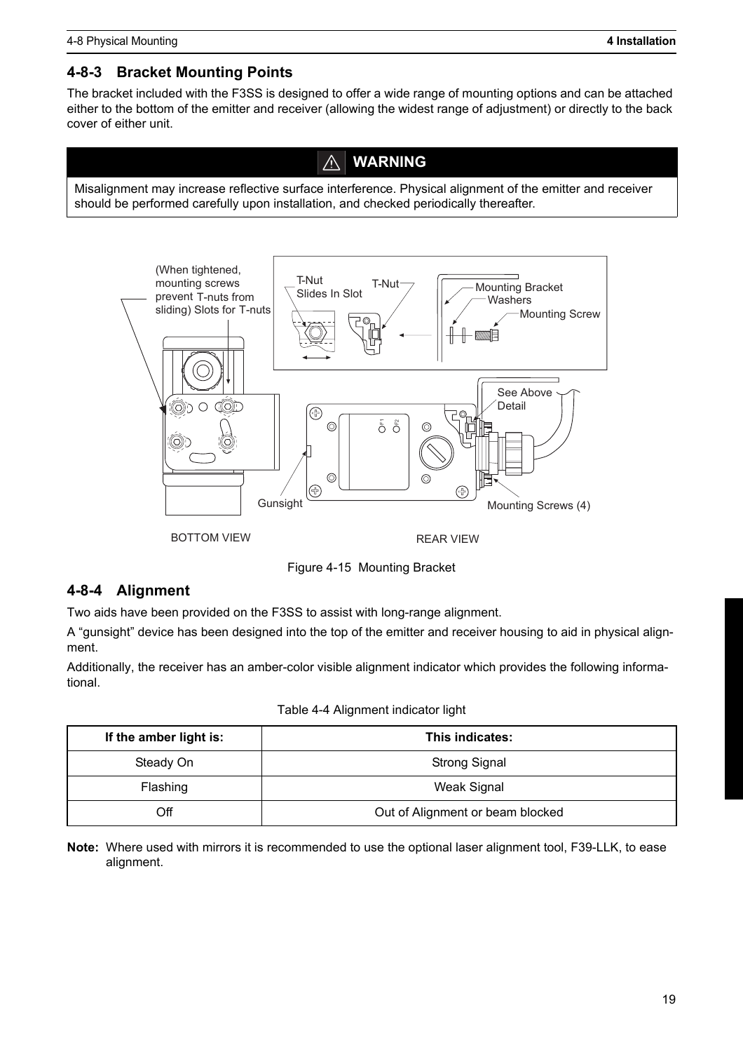### <span id="page-22-0"></span>**4-8-3 Bracket Mounting Points**

The bracket included with the F3SS is designed to offer a wide range of mounting options and can be attached either to the bottom of the emitter and receiver (allowing the widest range of adjustment) or directly to the back cover of either unit.

## **WARNING**

Misalignment may increase reflective surface interference. Physical alignment of the emitter and receiver should be performed carefully upon installation, and checked periodically thereafter.



Figure 4-15 Mounting Bracket

#### <span id="page-22-1"></span>**4-8-4 Alignment**

Two aids have been provided on the F3SS to assist with long-range alignment.

A "gunsight" device has been designed into the top of the emitter and receiver housing to aid in physical alignment.

Additionally, the receiver has an amber-color visible alignment indicator which provides the following informational.

| If the amber light is: | This indicates:                  |
|------------------------|----------------------------------|
| Steady On              | <b>Strong Signal</b>             |
| <b>Flashing</b>        | Weak Signal                      |
| Off                    | Out of Alignment or beam blocked |

| Table 4-4 Alignment indicator light |  |
|-------------------------------------|--|
|                                     |  |

**Note:** Where used with mirrors it is recommended to use the optional laser alignment tool, F39-LLK, to ease alignment.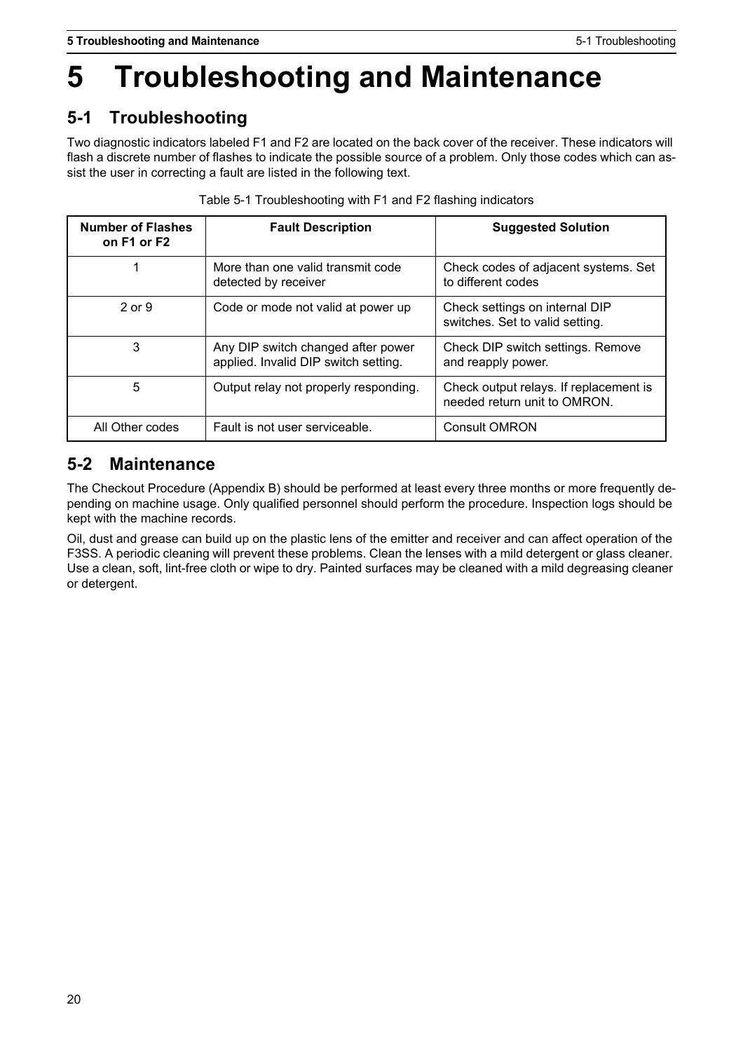## <span id="page-23-0"></span>**5 Troubleshooting and Maintenance**

## <span id="page-23-1"></span>**5-1 Troubleshooting**

Two diagnostic indicators labeled F1 and F2 are located on the back cover of the receiver. These indicators will flash a discrete number of flashes to indicate the possible source of a problem. Only those codes which can assist the user in correcting a fault are listed in the following text.

| <b>Number of Flashes</b><br>on F1 or F2 | <b>Fault Description</b>                                                   | <b>Suggested Solution</b>                                              |
|-----------------------------------------|----------------------------------------------------------------------------|------------------------------------------------------------------------|
|                                         | More than one valid transmit code<br>detected by receiver                  | Check codes of adjacent systems. Set<br>to different codes             |
| $2$ or $9$                              | Code or mode not valid at power up                                         | Check settings on internal DIP<br>switches. Set to valid setting.      |
| 3                                       | Any DIP switch changed after power<br>applied. Invalid DIP switch setting. | Check DIP switch settings. Remove<br>and reapply power.                |
| 5                                       | Output relay not properly responding.                                      | Check output relays. If replacement is<br>needed return unit to OMRON. |
| All Other codes                         | Fault is not user serviceable.                                             | <b>Consult OMRON</b>                                                   |

#### Table 5-1 Troubleshooting with F1 and F2 flashing indicators

## <span id="page-23-2"></span>**5-2 Maintenance**

The Checkout Procedure (Appendix B) should be performed at least every three months or more frequently depending on machine usage. Only qualified personnel should perform the procedure. Inspection logs should be kept with the machine records.

Oil, dust and grease can build up on the plastic lens of the emitter and receiver and can affect operation of the F3SS. A periodic cleaning will prevent these problems. Clean the lenses with a mild detergent or glass cleaner. Use a clean, soft, lint-free cloth or wipe to dry. Painted surfaces may be cleaned with a mild degreasing cleaner or detergent.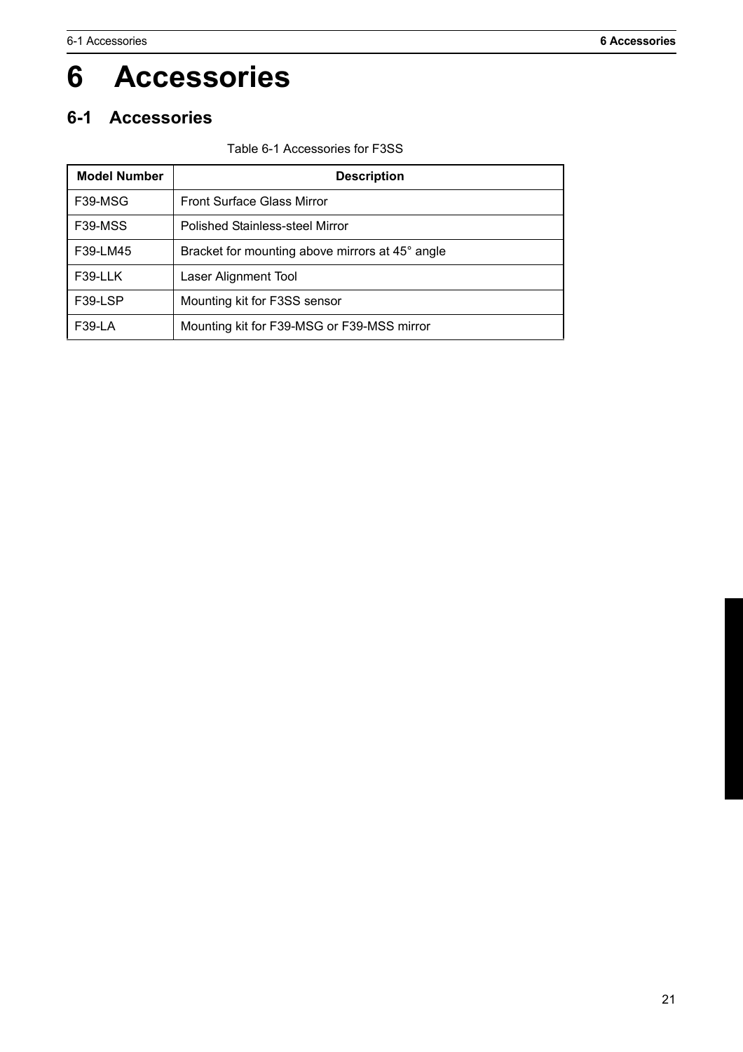## <span id="page-24-0"></span>**6 Accessories**

## <span id="page-24-1"></span>**6-1 Accessories**

Table 6-1 Accessories for F3SS

| <b>Model Number</b> | <b>Description</b>                              |  |
|---------------------|-------------------------------------------------|--|
| F39-MSG             | <b>Front Surface Glass Mirror</b>               |  |
| F39-MSS             | <b>Polished Stainless-steel Mirror</b>          |  |
| F39-LM45            | Bracket for mounting above mirrors at 45° angle |  |
| F39-LLK             | Laser Alignment Tool                            |  |
| F39-LSP             | Mounting kit for F3SS sensor                    |  |
| F39-LA              | Mounting kit for F39-MSG or F39-MSS mirror      |  |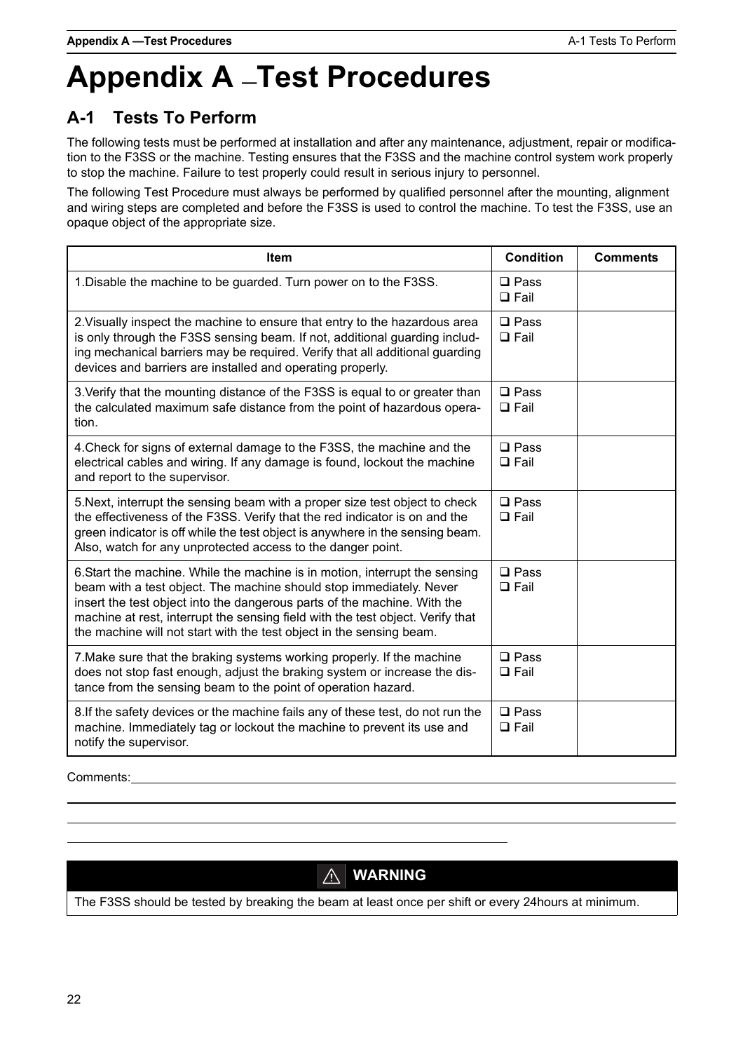## <span id="page-25-0"></span>**Appendix A —Test Procedures**

## <span id="page-25-1"></span>**A-1 Tests To Perform**

The following tests must be performed at installation and after any maintenance, adjustment, repair or modification to the F3SS or the machine. Testing ensures that the F3SS and the machine control system work properly to stop the machine. Failure to test properly could result in serious injury to personnel.

The following Test Procedure must always be performed by qualified personnel after the mounting, alignment and wiring steps are completed and before the F3SS is used to control the machine. To test the F3SS, use an opaque object of the appropriate size.

| <b>Item</b>                                                                                                                                                                                                                                                                                                                                                                              | <b>Condition</b>              | <b>Comments</b> |
|------------------------------------------------------------------------------------------------------------------------------------------------------------------------------------------------------------------------------------------------------------------------------------------------------------------------------------------------------------------------------------------|-------------------------------|-----------------|
| 1. Disable the machine to be guarded. Turn power on to the F3SS.                                                                                                                                                                                                                                                                                                                         | $\square$ Pass<br>$\Box$ Fail |                 |
| 2. Visually inspect the machine to ensure that entry to the hazardous area<br>is only through the F3SS sensing beam. If not, additional guarding includ-<br>ing mechanical barriers may be required. Verify that all additional guarding<br>devices and barriers are installed and operating properly.                                                                                   | $\square$ Pass<br>$\Box$ Fail |                 |
| 3. Verify that the mounting distance of the F3SS is equal to or greater than<br>the calculated maximum safe distance from the point of hazardous opera-<br>tion.                                                                                                                                                                                                                         | $\square$ Pass<br>$\Box$ Fail |                 |
| 4. Check for signs of external damage to the F3SS, the machine and the<br>electrical cables and wiring. If any damage is found, lockout the machine<br>and report to the supervisor.                                                                                                                                                                                                     | $\square$ Pass<br>$\Box$ Fail |                 |
| 5. Next, interrupt the sensing beam with a proper size test object to check<br>the effectiveness of the F3SS. Verify that the red indicator is on and the<br>green indicator is off while the test object is anywhere in the sensing beam.<br>Also, watch for any unprotected access to the danger point.                                                                                | $\square$ Pass<br>$\Box$ Fail |                 |
| 6. Start the machine. While the machine is in motion, interrupt the sensing<br>beam with a test object. The machine should stop immediately. Never<br>insert the test object into the dangerous parts of the machine. With the<br>machine at rest, interrupt the sensing field with the test object. Verify that<br>the machine will not start with the test object in the sensing beam. | $\square$ Pass<br>$\Box$ Fail |                 |
| 7. Make sure that the braking systems working properly. If the machine<br>does not stop fast enough, adjust the braking system or increase the dis-<br>tance from the sensing beam to the point of operation hazard.                                                                                                                                                                     | $\square$ Pass<br>$\Box$ Fail |                 |
| 8. If the safety devices or the machine fails any of these test, do not run the<br>machine. Immediately tag or lockout the machine to prevent its use and<br>notify the supervisor.                                                                                                                                                                                                      | $\square$ Pass<br>$\Box$ Fail |                 |

Comments:

 $\ddot{\phantom{a}}$ 

#### **WARNING** Λ

The F3SS should be tested by breaking the beam at least once per shift or every 24hours at minimum.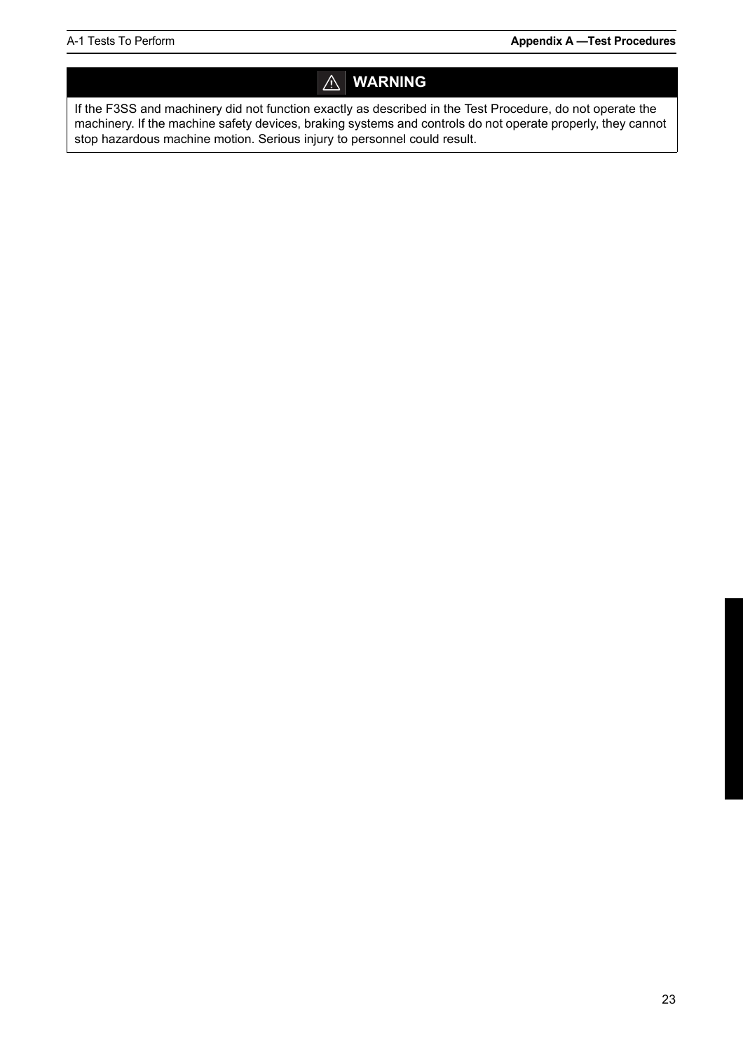## **WARNING**

If the F3SS and machinery did not function exactly as described in the Test Procedure, do not operate the machinery. If the machine safety devices, braking systems and controls do not operate properly, they cannot stop hazardous machine motion. Serious injury to personnel could result.